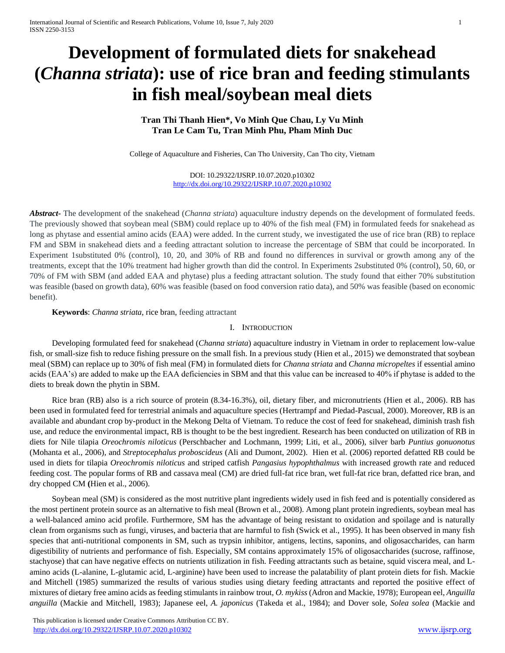# **Development of formulated diets for snakehead (***Channa striata***): use of rice bran and feeding stimulants in fish meal/soybean meal diets**

# **Tran Thi Thanh Hien\*, Vo Minh Que Chau, Ly Vu Minh Tran Le Cam Tu, Tran Minh Phu, Pham Minh Duc**

College of Aquaculture and Fisheries, Can Tho University, Can Tho city, Vietnam

DOI: 10.29322/IJSRP.10.07.2020.p10302 <http://dx.doi.org/10.29322/IJSRP.10.07.2020.p10302>

*Abstract***-** The development of the snakehead (*Channa striata*) aquaculture industry depends on the development of formulated feeds. The previously showed that soybean meal (SBM) could replace up to 40% of the fish meal (FM) in formulated feeds for snakehead as long as phytase and essential amino acids (EAA) were added. In the current study, we investigated the use of rice bran (RB) to replace FM and SBM in snakehead diets and a feeding attractant solution to increase the percentage of SBM that could be incorporated. In Experiment 1substituted 0% (control), 10, 20, and 30% of RB and found no differences in survival or growth among any of the treatments, except that the 10% treatment had higher growth than did the control. In Experiments 2substituted 0% (control), 50, 60, or 70% of FM with SBM (and added EAA and phytase) plus a feeding attractant solution. The study found that either 70% substitution was feasible (based on growth data), 60% was feasible (based on food conversion ratio data), and 50% was feasible (based on economic benefit).

## **Keywords**: *Channa striata*, rice bran, feeding attractant

## I. INTRODUCTION

Developing formulated feed for snakehead (*Channa striata*) aquaculture industry in Vietnam in order to replacement low-value fish, or small-size fish to reduce fishing pressure on the small fish. In a previous study (Hien et al., 2015) we demonstrated that soybean meal (SBM) can replace up to 30% of fish meal (FM) in formulated diets for *Channa striata* and *Channa micropeltes* if essential amino acids (EAA's) are added to make up the EAA deficiencies in SBM and that this value can be increased to 40% if phytase is added to the diets to break down the phytin in SBM.

Rice bran (RB) also is a rich source of protein (8.34-16.3%), oil, dietary fiber, and micronutrients (Hien et al., 2006). RB has been used in formulated feed for terrestrial animals and aquaculture species (Hertrampf and Piedad-Pascual, 2000). Moreover, RB is an available and abundant crop by-product in the Mekong Delta of Vietnam. To reduce the cost of feed for snakehead, diminish trash fish use, and reduce the environmental impact, RB is thought to be the best ingredient. Research has been conducted on utilization of RB in diets for Nile tilapia *Oreochromis niloticus* (Perschbacher and Lochmann, 1999; Liti, et al., 2006), silver barb *Puntius gonuonotus*  (Mohanta et al., 2006)*,* and *Streptocephalus proboscideus* (Ali and Dumont, 2002). Hien et al. (2006) reported defatted RB could be used in diets for tilapia *Oreochromis niloticus* and striped catfish *Pangasius hypophthalmus* with increased growth rate and reduced feeding cost. The popular forms of RB and cassava meal (CM) are dried full-fat rice bran, wet full-fat rice bran, defatted rice bran, and dry chopped CM **(**Hien et al., 2006).

Soybean meal (SM) is considered as the most nutritive plant ingredients widely used in fish feed and is potentially considered as the most pertinent protein source as an alternative t[o fish meal](http://www.feedipedia.org/node/208) (Brown [et al., 2008\)](http://www.feedipedia.org/node/3144). Among plant protein ingredients, soybean meal has a well-balanced amino acid profile. Furthermore, SM has the advantage of being resistant to oxidation and spoilage and is naturally clean from organisms such as fungi, viruses, and bacteria that are harmful to fish (Swick et al., 1995). It has been observed in many fish species that anti-nutritional components in SM, such as trypsin inhibitor, antigens, lectins, saponins, and oligosaccharides, can harm digestibility of nutrients and performance of fish. Especially, SM contains approximately 15% of oligosaccharides (sucrose, raffinose, stachyose) that can have negative effects on nutrients utilization in fish. Feeding attractants such as betaine, squid viscera meal, and Lamino acids (L-alanine, L-glutamic acid, L-arginine) have been used to increase the palatability of plant protein diets for fish. Mackie and Mitchell (1985) summarized the results of various studies using dietary feeding attractants and reported the positive effect of mixtures of dietary free amino acids as feeding stimulants in rainbow trout, *O. mykiss* (Adron and Mackie, 1978); European eel, *Anguilla anguilla* (Mackie and Mitchell, 1983); Japanese eel, *A. japonicus* (Takeda et al., 1984); and Dover sole, *Solea solea* (Mackie and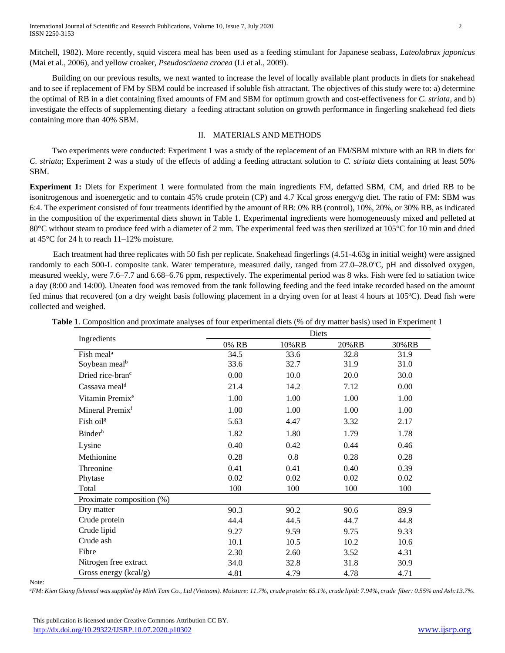Mitchell, 1982). More recently, squid viscera meal has been used as a feeding stimulant for Japanese seabass, *Lateolabrax japonicus* (Mai et al., 2006), and yellow croaker, *Pseudosciaena crocea* (Li et al., 2009).

Building on our previous results, we next wanted to increase the level of locally available plant products in diets for snakehead and to see if replacement of FM by SBM could be increased if soluble fish attractant. The objectives of this study were to: a) determine the optimal of RB in a diet containing fixed amounts of FM and SBM for optimum growth and cost-effectiveness for *C. striata*, and b) investigate the effects of supplementing dietary a feeding attractant solution on growth performance in fingerling snakehead fed diets containing more than 40% SBM.

## II. MATERIALS AND METHODS

Two experiments were conducted: Experiment 1 was a study of the replacement of an FM/SBM mixture with an RB in diets for *C. striata*; Experiment 2 was a study of the effects of adding a feeding attractant solution to *C. striata* diets containing at least 50% SBM.

**Experiment 1:** Diets for Experiment 1 were formulated from the main ingredients FM, defatted SBM, CM, and dried RB to be isonitrogenous and isoenergetic and to contain 45% crude protein (CP) and 4.7 Kcal gross energy/g diet. The ratio of FM: SBM was 6:4. The experiment consisted of four treatments identified by the amount of RB: 0% RB (control), 10%, 20%, or 30% RB, as indicated in the composition of the experimental diets shown in Table 1. Experimental ingredients were homogeneously mixed and pelleted at 80°C without steam to produce feed with a diameter of 2 mm. The experimental feed was then sterilized at 105°C for 10 min and dried at 45°C for 24 h to reach 11–12% moisture.

Each treatment had three replicates with 50 fish per replicate. Snakehead fingerlings (4.51-4.63g in initial weight) were assigned randomly to each 500-L composite tank. Water temperature, measured daily, ranged from 27.0–28.0°C, pH and dissolved oxygen, measured weekly, were 7.6–7.7 and 6.68–6.76 ppm, respectively. The experimental period was 8 wks. Fish were fed to satiation twice a day (8:00 and 14:00). Uneaten food was removed from the tank following feeding and the feed intake recorded based on the amount fed minus that recovered (on a dry weight basis following placement in a drying oven for at least 4 hours at 105<sup>o</sup>C). Dead fish were collected and weighed.

| Ingredients                  | Diets |       |       |       |
|------------------------------|-------|-------|-------|-------|
|                              | 0% RB | 10%RB | 20%RB | 30%RB |
| Fish meal <sup>a</sup>       | 34.5  | 33.6  | 32.8  | 31.9  |
| Soybean meal <sup>b</sup>    | 33.6  | 32.7  | 31.9  | 31.0  |
| Dried rice-bran <sup>c</sup> | 0.00  | 10.0  | 20.0  | 30.0  |
| Cassava meal <sup>d</sup>    | 21.4  | 14.2  | 7.12  | 0.00  |
| Vitamin Premix <sup>e</sup>  | 1.00  | 1.00  | 1.00  | 1.00  |
| Mineral Premix <sup>f</sup>  | 1.00  | 1.00  | 1.00  | 1.00  |
| Fish oil <sup>g</sup>        | 5.63  | 4.47  | 3.32  | 2.17  |
| <b>Binder</b> <sup>h</sup>   | 1.82  | 1.80  | 1.79  | 1.78  |
| Lysine                       | 0.40  | 0.42  | 0.44  | 0.46  |
| Methionine                   | 0.28  | 0.8   | 0.28  | 0.28  |
| Threonine                    | 0.41  | 0.41  | 0.40  | 0.39  |
| Phytase                      | 0.02  | 0.02  | 0.02  | 0.02  |
| Total                        | 100   | 100   | 100   | 100   |
| Proximate composition (%)    |       |       |       |       |
| Dry matter                   | 90.3  | 90.2  | 90.6  | 89.9  |
| Crude protein                | 44.4  | 44.5  | 44.7  | 44.8  |
| Crude lipid                  | 9.27  | 9.59  | 9.75  | 9.33  |
| Crude ash                    | 10.1  | 10.5  | 10.2  | 10.6  |
| Fibre                        | 2.30  | 2.60  | 3.52  | 4.31  |
| Nitrogen free extract        | 34.0  | 32.8  | 31.8  | 30.9  |
| Gross energy (kcal/g)        | 4.81  | 4.79  | 4.78  | 4.71  |

**Table 1**. Composition and proximate analyses of four experimental diets (% of dry matter basis) used in Experiment 1

Note:

*<sup>a</sup>FM: Kien Giang fishmeal was supplied by Minh Tam Co., Ltd (Vietnam). Moisture: 11.7%, crude protein: 65.1%, crude lipid: 7.94%, crude fiber: 0.55% and Ash:13.7%.*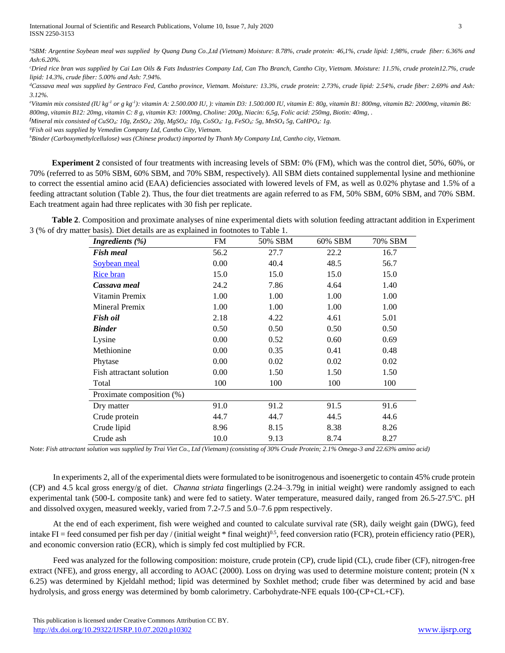*b SBM: Argentine Soybean meal was supplied by Quang Dung Co.,Ltd (Vietnam) Moisture: 8.78%, crude protein: 46,1%, crude lipid: 1,98%, crude fiber: 6.36% and Ash:6.20%.* 

*<sup>c</sup>Dried rice bran was supplied by Cai Lan Oils & Fats Industries Company Ltd, Can Tho Branch, Cantho City, Vietnam. Moisture: 11.5%, crude protein12.7%, crude lipid: 14.3%, crude fiber: 5.00% and Ash: 7.94%.*

*<sup>d</sup>Cassava meal was supplied by Gentraco Fed, Cantho province, Vietnam. Moisture: 13.3%, crude protein: 2.73%, crude lipid: 2.54%, crude fiber: 2.69% and Ash: 3.12%.*

*<sup>e</sup>Vitamin mix consisted (IU kg-1 or g kg-1 ): vitamin A: 2.500.000 IU, ): vitamin D3: 1.500.000 IU, vitamin E: 80g, vitamin B1: 800mg, vitamin B2: 2000mg, vitamin B6: 800mg, vitamin B12: 20mg, vitamin C: 8 g, vitamin K3: 1000mg, Choline: 200g, Niacin: 6,5g, Folic acid: 250mg, Biotin: 40mg, .*

*<sup>f</sup>Mineral mix consisted of CuSO4: 10g, ZnSO4: 20g, MgSO4: 10g, CoSO4: 1g, FeSO4: 5g, MnSO<sup>4</sup> 5g, CaHPO4: 1g.*

*<sup>g</sup>Fish oil was supplied by Vemedim Company Ltd, Cantho City, Vietnam.*

*<sup>h</sup>Binder (Carboxymethylcellulose) was (Chinese product) imported by Thanh My Company Ltd, Cantho city, Vietnam.*

**Experiment 2** consisted of four treatments with increasing levels of SBM: 0% (FM), which was the control diet, 50%, 60%, or 70% (referred to as 50% SBM, 60% SBM, and 70% SBM, respectively). All SBM diets contained supplemental lysine and methionine to correct the essential amino acid (EAA) deficiencies associated with lowered levels of FM, as well as 0.02% phytase and 1.5% of a feeding attractant solution (Table 2). Thus, the four diet treatments are again referred to as FM, 50% SBM, 60% SBM, and 70% SBM. Each treatment again had three replicates with 30 fish per replicate.

**Table 2**. Composition and proximate analyses of nine experimental diets with solution feeding attractant addition in Experiment  $3$  (% of dry mat

| Ingredients $(\% )$       | FM   | 50% SBM | 60% SBM | 70% SBM |
|---------------------------|------|---------|---------|---------|
| <b>Fish meal</b>          | 56.2 | 27.7    | 22.2    | 16.7    |
| Soybean meal              | 0.00 | 40.4    | 48.5    | 56.7    |
| <b>Rice bran</b>          | 15.0 | 15.0    | 15.0    | 15.0    |
| Cassava meal              | 24.2 | 7.86    | 4.64    | 1.40    |
| Vitamin Premix            | 1.00 | 1.00    | 1.00    | 1.00    |
| Mineral Premix            | 1.00 | 1.00    | 1.00    | 1.00    |
| Fish oil                  | 2.18 | 4.22    | 4.61    | 5.01    |
| <b>Binder</b>             | 0.50 | 0.50    | 0.50    | 0.50    |
| Lysine                    | 0.00 | 0.52    | 0.60    | 0.69    |
| Methionine                | 0.00 | 0.35    | 0.41    | 0.48    |
| Phytase                   | 0.00 | 0.02    | 0.02    | 0.02    |
| Fish attractant solution  | 0.00 | 1.50    | 1.50    | 1.50    |
| Total                     | 100  | 100     | 100     | 100     |
| Proximate composition (%) |      |         |         |         |
| Dry matter                | 91.0 | 91.2    | 91.5    | 91.6    |
| Crude protein             | 44.7 | 44.7    | 44.5    | 44.6    |
| Crude lipid               | 8.96 | 8.15    | 8.38    | 8.26    |
| Crude ash                 | 10.0 | 9.13    | 8.74    | 8.27    |

Note: *Fish attractant solution was supplied by Trai Viet Co., Ltd (Vietnam) (consisting of 30% Crude Protein; 2.1% Omega-3 and 22.63% amino acid)*

In experiments 2, all of the experimental diets were formulated to be isonitrogenous and isoenergetic to contain 45% crude protein (CP) and 4.5 kcal gross energy/g of diet. *Channa striata* fingerlings (2.24–3.79g in initial weight) were randomly assigned to each experimental tank (500-L composite tank) and were fed to satiety. Water temperature, measured daily, ranged from 26.5-27.5°C. pH and dissolved oxygen, measured weekly, varied from 7.2-7.5 and 5.0–7.6 ppm respectively.

At the end of each experiment, fish were weighed and counted to calculate survival rate (SR), daily weight gain (DWG), feed intake FI = feed consumed per fish per day / (initial weight  $*$  final weight)<sup>0.5</sup>, feed conversion ratio (FCR), protein efficiency ratio (PER), and economic conversion ratio (ECR), which is simply fed cost multiplied by FCR.

Feed was analyzed for the following composition: moisture, crude protein (CP), crude lipid (CL), crude fiber (CF), nitrogen-free extract (NFE), and gross energy, all according to AOAC (2000). Loss on drying was used to determine moisture content; protein (N x 6.25) was determined by Kjeldahl method; lipid was determined by Soxhlet method; crude fiber was determined by acid and base hydrolysis, and gross energy was determined by bomb calorimetry. Carbohydrate-NFE equals 100-(CP+CL+CF).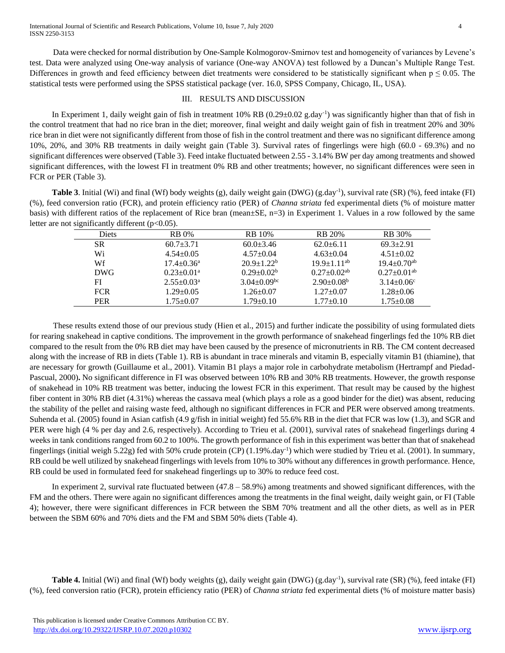Data were checked for normal distribution by One-Sample Kolmogorov-Smirnov test and homogeneity of variances by Levene's test. Data were analyzed using One-way analysis of variance (One-way ANOVA) test followed by a Duncan's Multiple Range Test. Differences in growth and feed efficiency between diet treatments were considered to be statistically significant when  $p \leq 0.05$ . The statistical tests were performed using the SPSS statistical package (ver. 16.0, SPSS Company, Chicago, IL, USA).

## III. RESULTS AND DISCUSSION

In Experiment 1, daily weight gain of fish in treatment  $10\%$  RB  $(0.29 \pm 0.02 \text{ g/day}^{-1})$  was significantly higher than that of fish in the control treatment that had no rice bran in the diet; moreover, final weight and daily weight gain of fish in treatment 20% and 30% rice bran in diet were not significantly different from those of fish in the control treatment and there was no significant difference among 10%, 20%, and 30% RB treatments in daily weight gain (Table 3). Survival rates of fingerlings were high (60.0 - 69.3%) and no significant differences were observed (Table 3). Feed intake fluctuated between 2.55 - 3.14% BW per day among treatments and showed significant differences, with the lowest FI in treatment 0% RB and other treatments; however, no significant differences were seen in FCR or PER (Table 3).

Table 3. Initial (Wi) and final (Wf) body weights (g), daily weight gain (DWG) (g.day<sup>-1</sup>), survival rate (SR) (%), feed intake (FI) (%), feed conversion ratio (FCR), and protein efficiency ratio (PER) of *Channa striata* fed experimental diets (% of moisture matter basis) with different ratios of the replacement of Rice bran (mean±SE, n=3) in Experiment 1. Values in a row followed by the same letter are not significantly different  $(p<0.05)$ .

| <b>Diets</b> | <b>RB</b> 0%                 | <b>RB</b> 10%                 | <b>RB</b> 20%                 | <b>RB</b> 30%                 |
|--------------|------------------------------|-------------------------------|-------------------------------|-------------------------------|
| SR.          | $60.7 + 3.71$                | $60.0+3.46$                   | $62.0 + 6.11$                 | $69.3 \pm 2.91$               |
| Wi           | $4.54 \pm 0.05$              | $4.57+0.04$                   | $4.63 \pm 0.04$               | $4.51 \pm 0.02$               |
| Wf           | $17.4 \pm 0.36^a$            | $20.9+1.22^b$                 | $19.9 + 1.11^{ab}$            | $19.4 \pm 0.70$ <sup>ab</sup> |
| DWG          | $0.23 \pm 0.01$ <sup>a</sup> | $0.29 + 0.02^b$               | $0.27 \pm 0.02$ <sup>ab</sup> | $0.27 \pm 0.01$ <sup>ab</sup> |
| FI           | $2.55 \pm 0.03^{\text{a}}$   | $3.04 \pm 0.09$ <sup>bc</sup> | $2.90 \pm 0.08^b$             | $3.14 \pm 0.06$ <sup>c</sup>  |
| <b>FCR</b>   | $1.29 \pm 0.05$              | $1.26 \pm 0.07$               | $1.27 \pm 0.07$               | $1.28 \pm 0.06$               |
| <b>PER</b>   | $1.75 \pm 0.07$              | $1.79 \pm 0.10$               | $1.77+0.10$                   | $1.75 \pm 0.08$               |

These results extend those of our previous study (Hien et al., 2015) and further indicate the possibility of using formulated diets for rearing snakehead in captive conditions. The improvement in the growth performance of snakehead fingerlings fed the 10% RB diet compared to the result from the 0% RB diet may have been caused by the presence of micronutrients in RB. The CM content decreased along with the increase of RB in diets (Table 1). RB is abundant in trace minerals and vitamin B, especially vitamin B1 (thiamine), that are necessary for growth (Guillaume et al., 2001). Vitamin B1 plays a major role in carbohydrate metabolism (Hertrampf and Piedad-Pascual, 2000)**.** No significant difference in FI was observed between 10% RB and 30% RB treatments. However, the growth response of snakehead in 10% RB treatment was better, inducing the lowest FCR in this experiment. That result may be caused by the highest fiber content in 30% RB diet (4.31%) whereas the cassava meal (which plays a role as a good binder for the diet) was absent, reducing the stability of the pellet and raising waste feed, although no significant differences in FCR and PER were observed among treatments. Suhenda et al. (2005) found in Asian catfish (4.9 g/fish in initial weight) fed 55.6% RB in the diet that FCR was low (1.3), and SGR and PER were high (4 % per day and 2.6, respectively). According to Trieu et al. (2001), survival rates of snakehead fingerlings during 4 weeks in tank conditions ranged from 60.2 to 100%. The growth performance of fish in this experiment was better than that of snakehead fingerlings (initial weigh 5.22g) fed with 50% crude protein (CP) (1.19%.day<sup>-1</sup>) which were studied by Trieu et al. (2001). In summary, RB could be well utilized by snakehead fingerlings with levels from 10% to 30% without any differences in growth performance. Hence, RB could be used in formulated feed for snakehead fingerlings up to 30% to reduce feed cost.

In experiment 2, survival rate fluctuated between  $(47.8 - 58.9%)$  among treatments and showed significant differences, with the FM and the others. There were again no significant differences among the treatments in the final weight, daily weight gain, or FI (Table 4); however, there were significant differences in FCR between the SBM 70% treatment and all the other diets, as well as in PER between the SBM 60% and 70% diets and the FM and SBM 50% diets (Table 4).

Table 4. Initial (Wi) and final (Wf) body weights (g), daily weight gain (DWG) (g.day<sup>-1</sup>), survival rate (SR) (%), feed intake (FI) (%), feed conversion ratio (FCR), protein efficiency ratio (PER) of *Channa striata* fed experimental diets (% of moisture matter basis)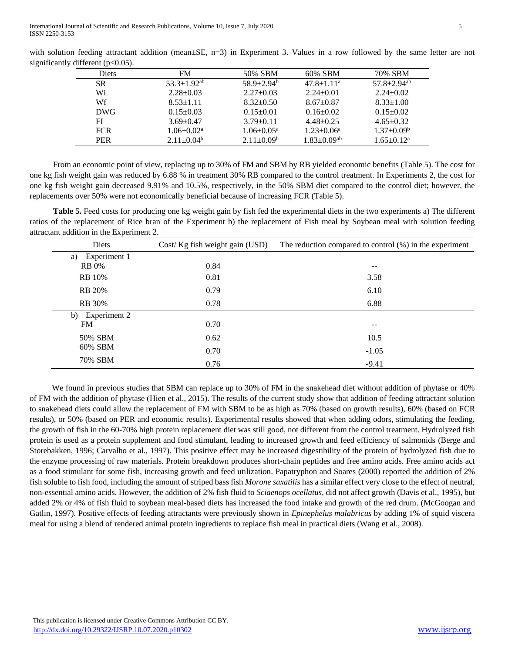| <b>Diets</b> | <b>FM</b>            | 50% SBM                      | 60% SBM                       | 70% SBM                       |
|--------------|----------------------|------------------------------|-------------------------------|-------------------------------|
| SR.          | $53.3 \pm 1.92^{ab}$ | $58.9 + 2.94^b$              | $47.8 \pm 1.11^a$             | $57.8 \pm 2.94$ <sup>ab</sup> |
| Wi           | $2.28 \pm 0.03$      | $2.27 \pm 0.03$              | $2.24 + 0.01$                 | $2.24 \pm 0.02$               |
| Wf           | $8.53 \pm 1.11$      | $8.32 \pm 0.50$              | $8.67 \pm 0.87$               | $8.33 \pm 1.00$               |
| DWG.         | $0.15 \pm 0.03$      | $0.15 \pm 0.01$              | $0.16 \pm 0.02$               | $0.15 \pm 0.02$               |
| FI           | $3.69 \pm 0.47$      | $3.79 \pm 0.11$              | $4.48 \pm 0.25$               | $4.65 \pm 0.32$               |
| <b>FCR</b>   | $1.06 \pm 0.02^a$    | $1.06 \pm 0.05^{\mathrm{a}}$ | $1.23 \pm 0.06^a$             | $1.37 \pm 0.09^{\rm b}$       |
| <b>PER</b>   | $2.11+0.04b$         | $2.11 \pm 0.09^b$            | $1.83 \pm 0.09$ <sup>ab</sup> | $1.65 \pm 0.12^a$             |

with solution feeding attractant addition (mean $\pm$ SE, n=3) in Experiment 3. Values in a row followed by the same letter are not significantly different (p<0.05).

From an economic point of view, replacing up to 30% of FM and SBM by RB yielded economic benefits (Table 5). The cost for one kg fish weight gain was reduced by 6.88 % in treatment 30% RB compared to the control treatment. In Experiments 2, the cost for one kg fish weight gain decreased 9.91% and 10.5%, respectively, in the 50% SBM diet compared to the control diet; however, the replacements over 50% were not economically beneficial because of increasing FCR (Table 5).

**Table 5.** Feed costs for producing one kg weight gain by fish fed the experimental diets in the two experiments a) The different ratios of the replacement of Rice bran of the Experiment b) the replacement of Fish meal by Soybean meal with solution feeding attractant addition in the Experiment 2.

| Diets              | Cost/Kg fish weight gain (USD) | The reduction compared to control $(\%)$ in the experiment |
|--------------------|--------------------------------|------------------------------------------------------------|
| Experiment 1<br>a) |                                |                                                            |
| <b>RB</b> 0%       | 0.84                           | $- -$                                                      |
| <b>RB</b> 10%      | 0.81                           | 3.58                                                       |
| <b>RB</b> 20%      | 0.79                           | 6.10                                                       |
| <b>RB</b> 30%      | 0.78                           | 6.88                                                       |
| Experiment 2<br>b) |                                |                                                            |
| <b>FM</b>          | 0.70                           | $\qquad \qquad -$                                          |
| 50% SBM            | 0.62                           | 10.5                                                       |
| 60% SBM            | 0.70                           | $-1.05$                                                    |
| 70% SBM            | 0.76                           | $-9.41$                                                    |

We found in previous studies that SBM can replace up to 30% of FM in the snakehead diet without addition of phytase or 40% of FM with the addition of phytase (Hien et al., 2015). The results of the current study show that addition of feeding attractant solution to snakehead diets could allow the replacement of FM with SBM to be as high as 70% (based on growth results), 60% (based on FCR results), or 50% (based on PER and economic results). Experimental results showed that when adding odors, stimulating the feeding, the growth of fish in the 60-70% high protein replacement diet was still good, not different from the control treatment. Hydrolyzed fish protein is used as a protein supplement and food stimulant, leading to increased growth and feed efficiency of salmonids (Berge and Storebakken, 1996; Carvalho et al., 1997). This positive effect may be increased digestibility of the protein of hydrolyzed fish due to the enzyme processing of raw materials. Protein breakdown produces short-chain peptides and free amino acids. Free amino acids act as a food stimulant for some fish, increasing growth and feed utilization. Papatryphon and Soares (2000) reported the addition of 2% fish soluble to fish food, including the amount of striped bass fish *Morone saxatilis* has a similar effect very close to the effect of neutral, non-essential amino acids. However, the addition of 2% fish fluid to *Sciaenops ocellatus*, did not affect growth (Davis et al., 1995), but added 2% or 4% of fish fluid to soybean meal-based diets has increased the food intake and growth of the red drum. (McGoogan and Gatlin, 1997). Positive effects of feeding attractants were previously shown in *Epinephelus malabricus* by adding 1% of squid viscera meal for using a blend of rendered animal protein ingredients to replace fish meal in practical diets (Wang et al., 2008).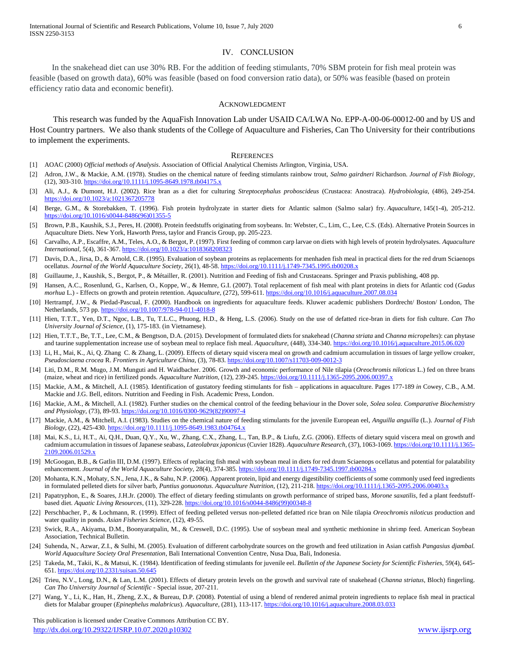### IV. CONCLUSION

In the snakehead diet can use 30% RB. For the addition of feeding stimulants, 70% SBM protein for fish meal protein was feasible (based on growth data), 60% was feasible (based on food conversion ratio data), or 50% was feasible (based on protein efficiency ratio data and economic benefit).

#### ACKNOWLEDGMENT

This research was funded by the AquaFish Innovation Lab under USAID CA/LWA No. EPP-A-00-06-00012-00 and by US and Host Country partners. We also thank students of the College of Aquaculture and Fisheries, Can Tho University for their contributions to implement the experiments.

#### **REFERENCES**

- [1] AOAC (2000) *Official methods of Analysis*. Association of Official Analytical Chemists Arlington, Virginia, USA.
- [2] Adron, J.W., & Mackie, A.M. (1978). Studies on the chemical nature of feeding stimulants rainbow trout, *Salmo gairdneri* Richardson. *Journal of Fish Biology,*  (12), 303-310[. https://doi.org/10.1111/j.1095-8649.1978.tb04175.x](https://doi.org/10.1111/j.1095-8649.1978.tb04175.x)
- [3] Ali, A.J., & Dumont, H.J. (2002). Rice bran as a diet for culturing *Streptocephalus proboscideus* (Crustacea: Anostraca). *Hydrobiologia*, (486), 249-254. <https://doi.org/10.1023/a:1021367205778>
- [4] Berge, G.M., & Storebakken, T. (1996). Fish protein hydrolyzate in starter diets for Atlantic salmon (Salmo salar) fry. *Aquaculture*, 145(1-4), 205-212. [https://doi.org/10.1016/s0044-8486\(96\)01355-5](https://doi.org/10.1016/s0044-8486(96)01355-5)
- [5] Brown, P.B., Kaushik, S.J., Peres, H. (2008). Protein feedstuffs originating from soybeans. In: Webster, C., Lim, C., Lee, C.S. (Eds). Alternative Protein Sources in Aquaculture Diets. New York, Haworth Press, taylor and Francis Group, pp. 205-223.
- [6] Carvalho, A.P., Escaffre, A.M., Teles, A.O., & Bergot, P. (1997). First feeding of common carp larvae on diets with high levels of protein hydrolysates. *Aquaculture International*, 5(4), 361-367. <https://doi.org/10.1023/a:1018368208323>
- [7] Davis, D.A., Jirsa, D., & Arnold, C.R. (1995). Evaluation of soybean proteins as replacements for menhaden fish meal in practical diets for the red drum Sciaenops ocellatus. *Journal of the World Aquaculture Society*, 26(1), 48-58.<https://doi.org/10.1111/j.1749-7345.1995.tb00208.x>
- [8] Guillaume, J., Kaushik, S., Bergot, P., & Métailler, R. (2001). Nutrition and Feeding of fish and Crustaceans. Springer and Praxis publishing, 408 pp.
- [9] Hansen, A.C., Rosenlund, G., Karlsen, O., Koppe, W., & Hemre, G.I. (2007). Total replacement of fish meal with plant proteins in diets for Atlantic cod (*Gadus morhua* L.) - Effects on growth and protein retention. *Aquaculture*, (272), 599-611[. https://doi.org/10.1016/j.aquaculture.2007.08.034](https://doi.org/10.1016/j.aquaculture.2007.08.034)
- [10] Hertrampf, J.W., & Piedad-Pascual, F. (2000). Handbook on ingredients for aquaculture feeds. Kluwer academic publishers Dordrecht/ Boston/ London, The Netherlands, 573 pp[. https://doi.org/10.1007/978-94-011-4018-8](https://doi.org/10.1007/978-94-011-4018-8)
- [11] Hien, T.T.T., Yen, D.T., Ngoc, L.B., Tu, T.L.C., Phuong, H.D., & Heng, L.S. (2006). Study on the use of defatted rice-bran in diets for fish culture. *Can Tho University Journal of Science*, (1), 175-183. (in Vietnamese).
- [12] Hien, T.T.T., Be, T.T., Lee, C.M., & Bengtson, D.A. (2015). Development of formulated diets for snakehead (*Channa striata* and *Channa micropeltes*): can phytase and taurine supplementation increase use of soybean meal to replace fish meal. *Aquaculture,* (448), 334-340[. https://doi.org/10.1016/j.aquaculture.2015.06.020](https://doi.org/10.1016/j.aquaculture.2015.06.020)
- [13] Li, H., Mai, K., Ai, Q. Zhang C. & Zhang, L. (2009). Effects of dietary squid viscera meal on growth and cadmium accumulation in tissues of large yellow croaker, *Pseudosciaena crocea* R. *Frontiers in Agriculture China,* (3), 78-83.<https://doi.org/10.1007/s11703-009-0012-3>
- [14] Liti, D.M., R.M. Mugo, J.M. Munguti and H. Waidbacher. 2006. Growth and economic performance of Nile tilapia (*Oreochromis niloticus* L.) fed on three brans (maize, wheat and rice) in fertilized ponds. *Aquaculture Nutrition,* (12), 239-245[. https://doi.org/10.1111/j.1365-2095.2006.00397.x](https://doi.org/10.1111/j.1365-2095.2006.00397.x)
- [15] Mackie, A.M., & Mitchell, A.I. (1985). Identification of gustatory feeding stimulants for fish applications in aquaculture. Pages 177-189 *in* Cowey, C.B., A.M. Mackie and J.G. Bell, editors. Nutrition and Feeding in Fish. Academic Press, London.
- [16] Mackie, A.M., & Mitchell, A.I. (1982). Further studies on the chemical control of the feeding behaviour in the Dover sole, *Solea solea*. *Comparative Biochemistry and Physiology,* (73), 89-93. [https://doi.org/10.1016/0300-9629\(82\)90097-4](https://doi.org/10.1016/0300-9629(82)90097-4)
- [17] Mackie, A.M., & Mitchell, A.I. (1983). Studies on the chemical nature of feeding stimulants for the juvenile European eel, *Anguilla anguilla* (L.). *Journal of Fish Biology,* (22), 425-430. <https://doi.org/10.1111/j.1095-8649.1983.tb04764.x>
- [18] Mai, K.S., Li, H.T., Ai, Q.H., Duan, Q.Y., Xu, W., Zhang, C.X., Zhang, L., Tan, B.P., & Liufu, Z.G. (2006). Effects of dietary squid viscera meal on growth and cadmium accumulation in tissues of Japanese seabass, *Lateolabrax japonicus* (Cuvier 1828). *Aquaculture Research,* (37), 1063-1069. [https://doi.org/10.1111/j.1365-](https://doi.org/10.1111/j.1365-2109.2006.01529.x) [2109.2006.01529.x](https://doi.org/10.1111/j.1365-2109.2006.01529.x)
- [19] McGoogan, B.B., & Gatlin III, D.M. (1997). Effects of replacing fish meal with soybean meal in diets for red drum Sciaenops ocellatus and potential for palatability enhancement. *Journal of the World Aquaculture Society*, 28(4), 374-385. <https://doi.org/10.1111/j.1749-7345.1997.tb00284.x>
- [20] Mohanta, K.N., Mohaty, S.N., Jena, J.K., & Sahu, N.P. (2006). Apparent protein, lipid and energy digestibility coefficients of some commonly used feed ingredients in formulated pelleted diets for silver barb, *Puntius gonuonotus*. *Aquaculture Nutrition,* (12), 211-218[. https://doi.org/10.1111/j.1365-2095.2006.00403.x](https://doi.org/10.1111/j.1365-2095.2006.00403.x)
- [21] Papatryphon, E., & Soares, J.H.Jr. (2000). The effect of dietary feeding stimulants on growth performance of striped bass, *Morone saxatilis*, fed a plant feedstuffbased diet. *Aquatic Living Resources*, (11), 329-228. [https://doi.org/10.1016/s0044-8486\(99\)00348-8](https://doi.org/10.1016/s0044-8486(99)00348-8)
- [22] Perschbacher, P., & Lochmann, R. (1999). Effect of feeding pelleted versus non-pelleted defatted rice bran on Nile tilapia *Oreochromis niloticus* production and water quality in ponds. *Asian Fisheries Science*, (12), 49-55.
- [23] Swick, R.A., Akiyama, D.M., Boonyaratpalin, M., & Creswell, D.C. (1995). Use of soybean meal and synthetic methionine in shrimp feed. American Soybean Association, Technical Bulletin.
- [24] Suhenda, N., Azwar, Z.I., & Sulhi, M. (2005). Evaluation of different carbohydrate sources on the growth and feed utilization in Asian catfish *Pangasius djambal. World Aquaculture Society Oral Presentation*, Bali International Convention Centre, Nusa Dua, Bali, Indonesia.
- [25] Takeda, M., Takii, K., & Matsui, K. (1984). Identification of feeding stimulants for juvenile eel. *Bulletin of the Japanese Society for Scientific Fisheries,* 59(4), 645- 651[. https://doi.org/10.2331/suisan.50.645](https://doi.org/10.2331/suisan.50.645)
- [26] Trieu, N.V., Long, D.N., & Lan, L.M. (2001). Effects of dietary protein levels on the growth and survival rate of snakehead (*Channa striatus*, Bloch) fingerling. *Can Tho University Journal of Scientific* - Special issue, 207-211.
- [27] Wang, Y., Li, K., Han, H., Zheng, Z.X., & Bureau, D.P. (2008). Potential of using a blend of rendered animal protein ingredients to replace fish meal in practical diets for Malabar grouper (*Epinephelus malabricus*). *Aquaculture,* (281), 113-117. <https://doi.org/10.1016/j.aquaculture.2008.03.033>

 This publication is licensed under Creative Commons Attribution CC BY. <http://dx.doi.org/10.29322/IJSRP.10.07.2020.p10302> [www.ijsrp.org](http://ijsrp.org/)